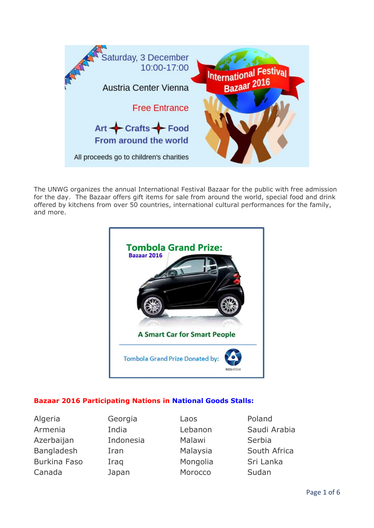

The UNWG organizes the annual International Festival Bazaar for the public with free admission for the day. The Bazaar offers gift items for sale from around the world, special food and drink offered by kitchens from over 50 countries, international cultural performances for the family, and more.



## **Bazaar 2016 Participating Nations in National Goods Stalls:**

| Algeria             |
|---------------------|
| Armenia             |
| Azerbaijan          |
| <b>Bangladesh</b>   |
| <b>Burkina Faso</b> |
| Canada              |

Georgia Laos **Poland** Indonesia Malawi Serbia Iraq Mongolia Sri Lanka Japan Morocco Sudan

India 1988 Lebanon 1988 Saudi Arabia Iran Malaysia South Africa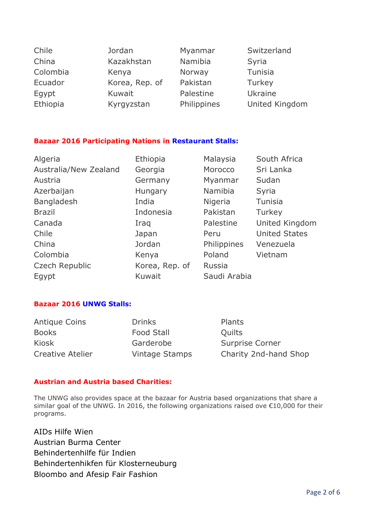| Chile    | Jordan         | Myanmar     | Switzerland    |
|----------|----------------|-------------|----------------|
| China    | Kazakhstan     | Namibia     | Syria          |
| Colombia | Kenya          | Norway      | Tunisia        |
| Ecuador  | Korea, Rep. of | Pakistan    | Turkey         |
| Egypt    | Kuwait         | Palestine   | Ukraine        |
| Ethiopia | Kyrgyzstan     | Philippines | United Kingdom |

#### **Bazaar 2016 Participating Nations in Restaurant Stalls:**

| Algeria               | Ethiopia       | Malaysia      | South Africa         |
|-----------------------|----------------|---------------|----------------------|
| Australia/New Zealand | Georgia        | Morocco       | Sri Lanka            |
| Austria               | Germany        | Myanmar       | Sudan                |
| Azerbaijan            | Hungary        | Namibia       | Syria                |
| Bangladesh            | India          | Nigeria       | Tunisia              |
| <b>Brazil</b>         | Indonesia      | Pakistan      | Turkey               |
| Canada                | Iraq           | Palestine     | United Kingdom       |
| Chile                 | Japan          | Peru          | <b>United States</b> |
| China                 | Jordan         | Philippines   | Venezuela            |
| Colombia              | Kenya          | Poland        | Vietnam              |
| Czech Republic        | Korea, Rep. of | <b>Russia</b> |                      |
| Egypt                 | Kuwait         | Saudi Arabia  |                      |
|                       |                |               |                      |

#### **Bazaar 2016 UNWG Stalls:**

Antique Coins **Drinks** Plants Books Food Stall Cuilts

Kiosk Garderobe Surprise Corner Creative Atelier Vintage Stamps Charity 2nd-hand Shop

#### **Austrian and Austria based Charities:**

The UNWG also provides space at the bazaar for Austria based organizations that share a similar goal of the UNWG. In 2016, the following organizations raised ove €10,000 for their programs.

AIDs Hilfe Wien Austrian Burma Center Behindertenhilfe für Indien Behindertenhikfen für Klosterneuburg Bloombo and Afesip Fair Fashion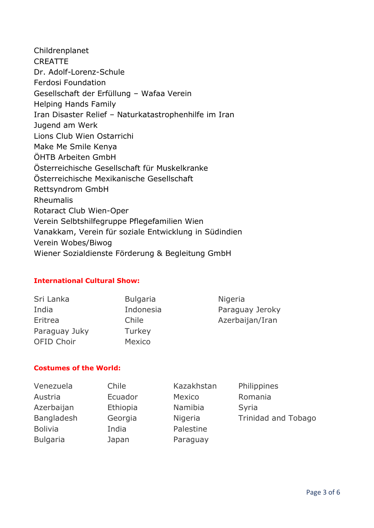Childrenplanet **CREATTE** Dr. Adolf-Lorenz-Schule Ferdosi Foundation Gesellschaft der Erfüllung – Wafaa Verein Helping Hands Family Iran Disaster Relief – Naturkatastrophenhilfe im Iran [Jugend am Werk](http://www.jaw.at/) [Lions Club Wien Ostarrichi](http://wien-ostarrichi.lions.at/) Make Me Smile Kenya ÖHTB Arbeiten GmbH Österreichische Gesellschaft für Muskelkranke Österreichische Mexikanische Gesellschaft Rettsyndrom GmbH Rheumalis Rotaract Club Wien-Oper Verein Selbtshilfegruppe Pflegefamilien Wien Vanakkam, Verein für soziale Entwicklung in Südindien Verein Wobes/Biwog Wiener Sozialdienste Förderung & Begleitung GmbH

#### **International Cultural Show:**

| Sri Lanka         | <b>Bulgaria</b> | Nigeria         |
|-------------------|-----------------|-----------------|
| India             | Indonesia       | Paraguay Jeroky |
| Eritrea           | Chile           | Azerbaijan/Iran |
| Paraguay Juky     | Turkey          |                 |
| <b>OFID Choir</b> | Mexico          |                 |
|                   |                 |                 |

#### **Costumes of the World:**

| Venezuela       | Chile    | Kazakhstan | Philippines                |
|-----------------|----------|------------|----------------------------|
| Austria         | Ecuador  | Mexico     | Romania                    |
| Azerbaijan      | Ethiopia | Namibia    | Syria                      |
| Bangladesh      | Georgia  | Nigeria    | <b>Trinidad and Tobago</b> |
| <b>Bolivia</b>  | India    | Palestine  |                            |
| <b>Bulgaria</b> | Japan    | Paraguay   |                            |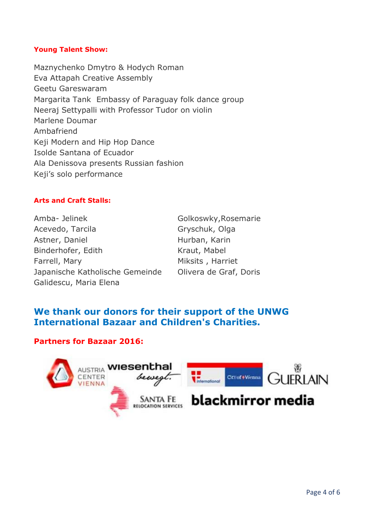#### **Young Talent Show:**

Maznychenko Dmytro & Hodych Roman Eva Attapah Creative Assembly Geetu Gareswaram Margarita Tank Embassy of Paraguay folk dance group Neeraj Settypalli with Professor Tudor on violin Marlene Doumar Ambafriend Keji Modern and Hip Hop Dance Isolde Santana of Ecuador Ala Denissova presents Russian fashion Keji's solo performance

#### **Arts and Craft Stalls:**

Amba- Jelinek Golkoswky, Rosemarie Acevedo, Tarcila Gryschuk, Olga Astner, Daniel **Hurban**, Karin Binderhofer, Edith Kraut, Mabel Farrell, Mary Miksits, Harriet Japanische Katholische Gemeinde Olivera de Graf, Doris Galidescu, Maria Elena

# **We thank our donors for their support of the UNWG International Bazaar and Children's Charities.**

#### **Partners for Bazaar 2016:**

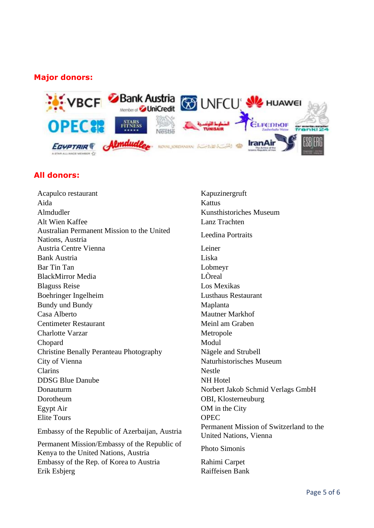# **Major donors:**



## **All donors:**

Acapulco restaurant Kapuzinergruft Aida Kattus Almdudler Kunsthistoriches Museum Alt Wien Kaffee Lanz Trachten Australian Permanent Mission to the United Australian Permanent Mission to the United<br>Nations, Austria Leedina Portraits Austria Centre Vienna Leiner Bank Austria Liska Bar Tin Tan Lobmeyr BlackMirror Media LÒreal Blaguss Reise Los Mexikas Boehringer Ingelheim Lusthaus Restaurant Bundy und Bundy Maplanta Casa Alberto Mautner Markhof Centimeter Restaurant Meinl am Graben Charlotte Varzar Metropole Chopard Modul Christine Benally Peranteau Photography Nägele and Strubell City of Vienna Naturhistorisches Museum Clarins Nestle DDSG Blue Danube NH Hotel Donauturm Norbert Jakob Schmid Verlags GmbH Dorotheum OBI, Klosterneuburg Egypt Air OM in the City Elite Tours OPEC

Permanent Mission/Embassy of the Republic of Fermanent Mission/Embassy of the Republic of Photo Simonis<br>Kenya to the United Nations, Austria Embassy of the Rep. of Korea to Austria Rahimi Carpet Erik Esbjerg Raiffeisen Bank

Embassy of the Republic of Azerbaijan, Austria Permanent Mission of Switzerland to the United Nations, Vienna